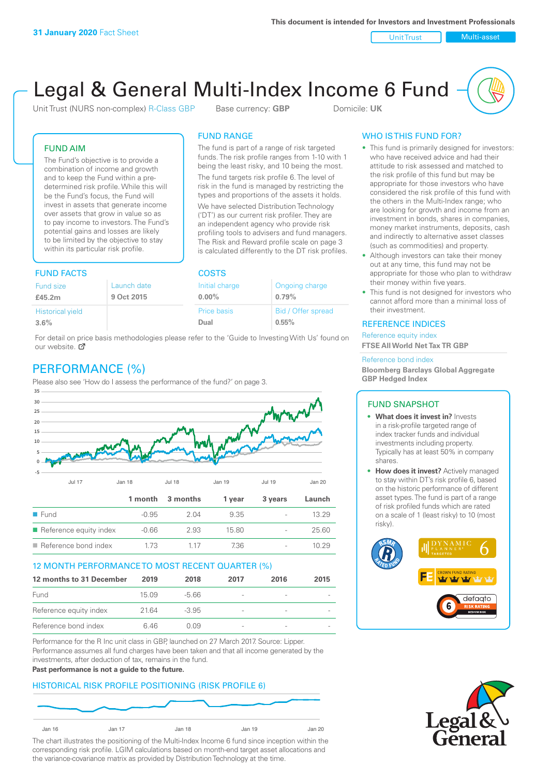Unit Trust Nulti-asset

# Legal & General Multi-Index Income 6 Fund

Unit Trust (NURS non-complex) R-Class GBP Base currency: **GBP** Domicile: UK

The fund is part of a range of risk targeted funds. The risk profile ranges from 1-10 with 1 being the least risky, and 10 being the most. The fund targets risk profile 6. The level of risk in the fund is managed by restricting the types and proportions of the assets it holds. We have selected Distribution Technology ('DT') as our current risk profiler. They are an independent agency who provide risk profiling tools to advisers and fund managers. The Risk and Reward profile scale on page 3 is calculated differently to the DT risk profiles.

FUND RANGE

FUND AIM

The Fund's objective is to provide a combination of income and growth and to keep the Fund within a predetermined risk profile. While this will be the Fund's focus, the Fund will invest in assets that generate income over assets that grow in value so as to pay income to investors. The Fund's potential gains and losses are likely to be limited by the objective to stay within its particular risk profile.

## FUND FACTS COSTS

|             | ----           |                    |  |  |
|-------------|----------------|--------------------|--|--|
| Launch date | Initial charge | Ongoing charge     |  |  |
| 9 Oct 2015  | $0.00\%$       | 0.79%              |  |  |
|             | Price basis    | Bid / Offer spread |  |  |
|             | Dual           | 0.55%              |  |  |
|             |                |                    |  |  |

For detail on price basis methodologies please refer to the 'Guide to Investing With Us' found on our website. Ø

# PERFORMANCE (%)

Please also see 'How do I assess the performance of the fund?' on page 3.



### 12 MONTH PERFORMANCE TO MOST RECENT QUARTER (%)

| 12 months to 31 December | 2019   | 2018    | 2017                     | 2016 | 2015 |
|--------------------------|--------|---------|--------------------------|------|------|
| Fund                     | 15 0.9 | -5.66   | $\qquad \qquad$          |      |      |
| Reference equity index   | 2164   | $-3.95$ | $\overline{\phantom{a}}$ |      |      |
| Reference bond index     | 646    | O 0.9   | $\overline{\phantom{a}}$ |      |      |

Performance for the R Inc unit class in GBP, launched on 27 March 2017. Source: Lipper. Performance assumes all fund charges have been taken and that all income generated by the investments, after deduction of tax, remains in the fund.

#### **Past performance is not a guide to the future.**

### HISTORICAL RISK PROFILE POSITIONING (RISK PROFILE 6)



The chart illustrates the positioning of the Multi-Index Income 6 fund since inception within the corresponding risk profile. LGIM calculations based on month-end target asset allocations and the variance-covariance matrix as provided by Distribution Technology at the time.

### WHO IS THIS FUND FOR?

- This fund is primarily designed for investors: who have received advice and had their attitude to risk assessed and matched to the risk profile of this fund but may be appropriate for those investors who have considered the risk profile of this fund with the others in the Multi-Index range; who are looking for growth and income from an investment in bonds, shares in companies, money market instruments, deposits, cash and indirectly to alternative asset classes (such as commodities) and property.
- Although investors can take their money out at any time, this fund may not be appropriate for those who plan to withdraw their money within five years.
- This fund is not designed for investors who cannot afford more than a minimal loss of their investment.

### REFERENCE INDICES

Reference equity index **FTSE All World Net Tax TR GBP**

#### Reference bond index

**Bloomberg Barclays Global Aggregate GBP Hedged Index**

### FUND SNAPSHOT

- **• What does it invest in?** Invests in a risk-profile targeted range of index tracker funds and individual investments including property. Typically has at least 50% in company shares.
- **• How does it invest?** Actively managed to stay within DT's risk profile 6, based on the historic performance of different asset types. The fund is part of a range of risk profiled funds which are rated on a scale of 1 (least risky) to 10 (most risky).



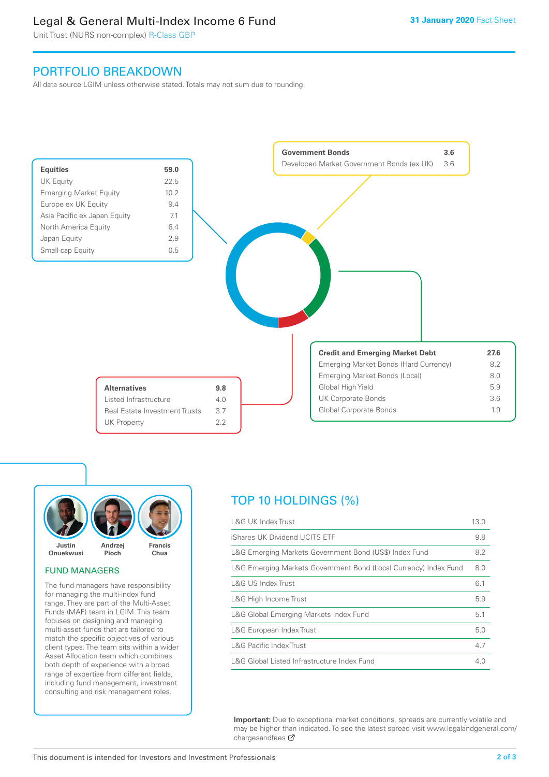# Legal & General Multi-Index Income 6 Fund

Unit Trust (NURS non-complex) R-Class GBP

# PORTFOLIO BREAKDOWN

All data source LGIM unless otherwise stated. Totals may not sum due to rounding.





### FUND MANAGERS

The fund managers have responsibility for managing the multi-index fund range. They are part of the Multi-Asset Funds (MAF) team in LGIM. This team focuses on designing and managing multi-asset funds that are tailored to match the specific objectives of various client types. The team sits within a wider Asset Allocation team which combines both depth of experience with a broad range of expertise from different fields, including fund management, investment consulting and risk management roles.

# TOP 10 HOLDINGS (%)

| <b>L&amp;G UK Index Trust</b>                                    | 13.0 |
|------------------------------------------------------------------|------|
| iShares UK Dividend UCITS ETF                                    | 9.8  |
| L&G Emerging Markets Government Bond (US\$) Index Fund           | 8.2  |
| L&G Emerging Markets Government Bond (Local Currency) Index Fund | 8.0  |
| L&G US Index Trust                                               | 6.1  |
| L&G High Income Trust                                            | 5.9  |
| L&G Global Emerging Markets Index Fund                           | 5.1  |
| L&G European Index Trust                                         | 5.0  |
| <b>L&amp;G Pacific Index Trust</b>                               | 4.7  |
| L&G Global Listed Infrastructure Index Fund                      | 4.0  |

**Important:** Due to exceptional market conditions, spreads are currently volatile and may be higher than indicated. To see the latest spread visit www.legalandgeneral.com/ chargesandfees Ø